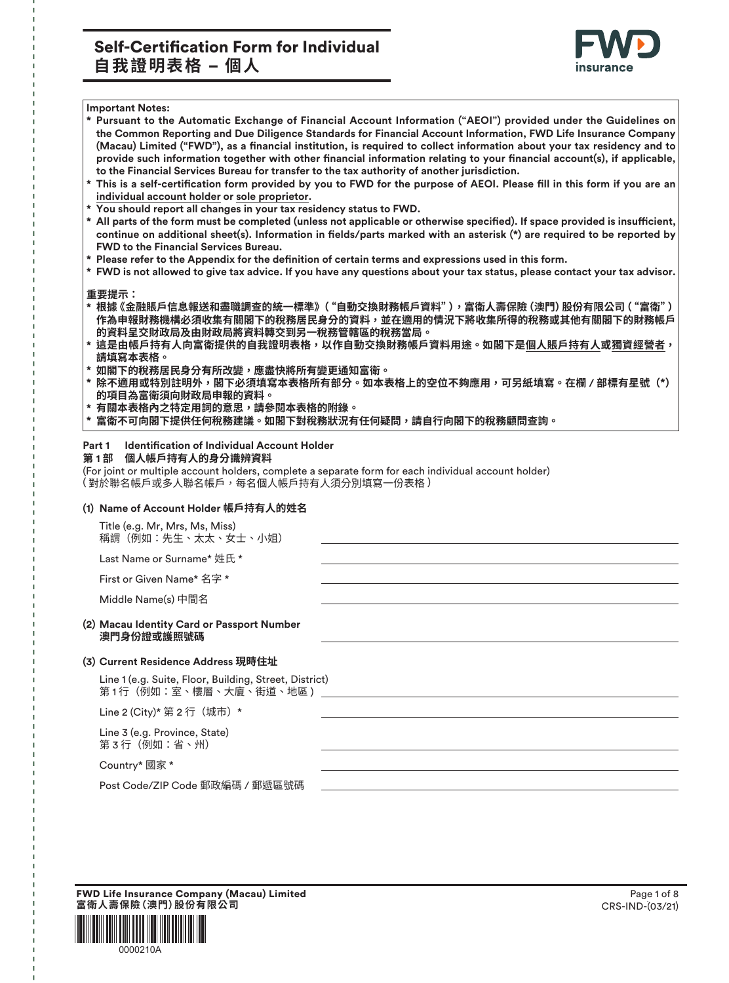# Self-Certification Form for Individual **自我證明表格 – 個人**



#### **Important Notes:**

- **\* Pursuant to the Automatic Exchange of Financial Account Information ("AEOI") provided under the Guidelines on the Common Reporting and Due Diligence Standards for Financial Account Information, FWD Life Insurance Company** (Macau) Limited ("FWD"), as a financial institution, is required to collect information about your tax residency and to provide such information together with other financial information relating to your financial account(s), if applicable, **to the Financial Services Bureau for transfer to the tax authority of another jurisdiction.**
- This is a self-certification form provided by you to FWD for the purpose of AEOI. Please fill in this form if you are an **individual account holder or sole proprietor.**
- **\* You should report all changes in your tax residency status to FWD.**
- All parts of the form must be completed (unless not applicable or otherwise specified). If space provided is insufficient, continue on additional sheet(s). Information in fields/parts marked with an asterisk (\*) are required to be reported by **FWD to the Financial Services Bureau.**
- \* Please refer to the Appendix for the definition of certain terms and expressions used in this form.
- **\* FWD is not allowed to give tax advice. If you have any questions about your tax status, please contact your tax advisor.**

#### **重要提示:**

- **· 根據 《金融賬戶信息報送和盡職調查的統一標準》("自動交換財務帳戶資料"),富衛人壽保險 (澳門) 股份有限公司 ( "富衛" )** 作為申報財務機構必須收集有關閣下的稅務居民身分的資料,並在適用的情況下將收集所得的稅務或其他有關閣下的財務帳戶 的資料呈交財政局及由財政局將資料轉交到另一稅務管轄區的稅務當局。
- \* 這是由帳戶持有人向富衛提供的自我證明表格,以作自動交換財務帳戶資料用途。如閣下是個人賬戶持有人或獨資經營者, 請填寫本表格。
- 如閣下的稅務居民身分有所改變,應盡快將所有變更通知富衛。
- 除不適用或特別註明外,閣下必須填寫本表格所有部分。如本表格上的空位不夠應用,可另紙填寫。在欄 / 部標有星號(\*) 的項目為富衛須向財政局申報的資料**。**
- 有關本表格內之特定用詞的意思,請參閱本表格的附錄。
- 富衛不可向閣下提供任何稅務建議。如閣下對稅務狀況有任何疑問,請自行向閣下的稅務顧問查詢。

#### **Part 1** Identification of Individual Account Holder

#### 第1部 個人帳戶持有人的身分識辨資料

(For joint or multiple account holders, complete a separate form for each individual account holder) (對於聯名帳戶或多人聯名帳戶,每名個人帳戶持有人須分別填寫一份表格 )

#### **(1) Name of Account Holder 䌙䨩䭰有人涸㨺そ**

Title (e.g. Mr, Mrs, Ms, Miss) 稱謂(例如:先生、太太、女士、小姐)

Last Name or Surname\* 姓氏 \*

First or Given Name\* 名字 \*

Middle Name(s) 中間そ

#### **(2) Macau Identity Card or Passport Number** 澳門身份證或護照號碼

#### **(3) Current Residence Address 現時住址**

Line 1 (e.g. Suite, Floor, Building, Street, District) 第 1 行(例如:室、樓層、大廈、街道、地區 )

Line 2 (City)\* 第 2 行 (城市) \*

 Line 3 (e.g. Province, State) 第 3 行(例如:省、州)

Country\* 國家 \*

Post Code/ZIP Code 郵政編碼 / 郵遞區號碼

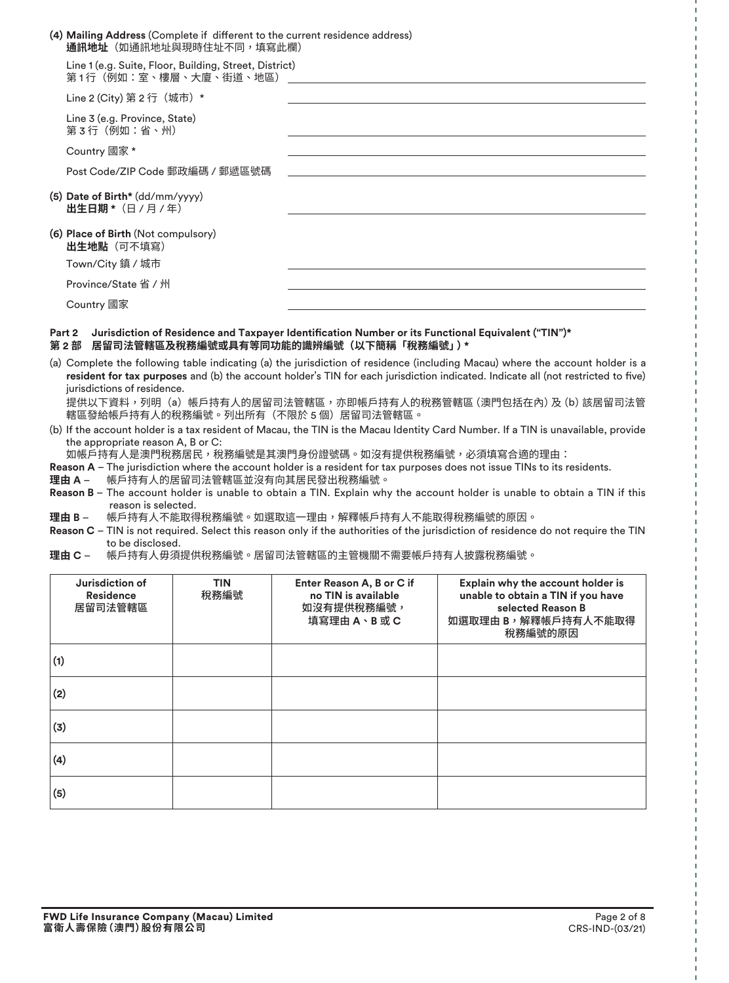| (4) Mailing Address (Complete if different to the current residence address)<br><b>通訊地址</b> (如通訊地址與現時住址不同,填寫此欄)                                              |
|--------------------------------------------------------------------------------------------------------------------------------------------------------------|
| Line 1 (e.g. Suite, Floor, Building, Street, District)<br>第 1 行(例如:室、樓層、大廈、街道、地區)                                                                            |
| Line 2 (City) 第 2 行 (城市) *                                                                                                                                   |
| Line 3 (e.g. Province, State)<br>第3行(例如:省、州)                                                                                                                 |
| Country 國家 *                                                                                                                                                 |
| Post Code/ZIP Code 郵政編碼 / 郵遞區號碼                                                                                                                              |
| (5) Date of Birth* (dd/mm/yyyy)<br>出生日期 * (日 / 月 / 年)                                                                                                        |
| (6) Place of Birth (Not compulsory)<br><b>出生地點</b> (可不填寫)                                                                                                    |
| Town/City 鎮 / 城市                                                                                                                                             |
| Province/State 省 / 州                                                                                                                                         |
| Country 國家                                                                                                                                                   |
| Jurisdiction of Residence and Taxpayer Identification Number or its Functional Equivalent ("TIN")*<br>Part 2<br>居留司法管轄區及稅務編號或具有等同功能的識辨編號(以下簡稱「稅務編號」)*<br>第2部 |

(a) Complete the following table indicating (a) the jurisdiction of residence (including Macau) where the account holder is a resident for tax purposes and (b) the account holder's TIN for each jurisdiction indicated. Indicate all (not restricted to five) jurisdictions of residence.

提供以下資料,列明(a)帳戶持有人的居留司法管轄區,亦即帳戶持有人的稅務管轄區 (澳門包括在內) 及 (b) 該居留司法管 轄區發給帳戶持有人的稅務編號。列出所有(不限於 5 個)居留司法管轄區。

(b) If the account holder is a tax resident of Macau, the TIN is the Macau Identity Card Number. If a TIN is unavailable, provide the appropriate reason A, B or C:

如帳戶持有人是澳門稅務居民,稅務編號是其澳門身份證號碼。如沒有提供稅務編號,必須填寫合適的理由:

- **Reason A** The jurisdiction where the account holder is a resident for tax purposes does not issue TINs to its residents.
- 理由 A 帳戶持有人的居留司法管轄區並沒有向其居民發出稅務編號。
- **Reason B** The account holder is unable to obtain a TIN. Explain why the account holder is unable to obtain a TIN if this reason is selected.

理由 B – 帳戶持有人不能取得稅務編號。如選取這一理由,解釋帳戶持有人不能取得稅務編號的原因。

- **Reason C** TIN is not required. Select this reason only if the authorities of the jurisdiction of residence do not require the TIN to be disclosed.
- 理由 C 帳戶持有人毋須提供稅務編號。居留司法管轄區的主管機關不需要帳戶持有人披露稅務編號。

| Jurisdiction of<br><b>Residence</b><br>居留司法管轄區 | <b>TIN</b><br>稅務編號 | Enter Reason A, B or C if<br>no TIN is available<br>如沒有提供稅務編號,<br>填寫理由A、B或C | Explain why the account holder is<br>unable to obtain a TIN if you have<br>selected Reason B<br>如選取理由 B,解釋帳戶持有人不能取得<br>稅務編號的原因 |  |
|------------------------------------------------|--------------------|-----------------------------------------------------------------------------|--------------------------------------------------------------------------------------------------------------------------------|--|
| (1)                                            |                    |                                                                             |                                                                                                                                |  |
| (2)                                            |                    |                                                                             |                                                                                                                                |  |
| (3)                                            |                    |                                                                             |                                                                                                                                |  |
| (4)                                            |                    |                                                                             |                                                                                                                                |  |
| (5)                                            |                    |                                                                             |                                                                                                                                |  |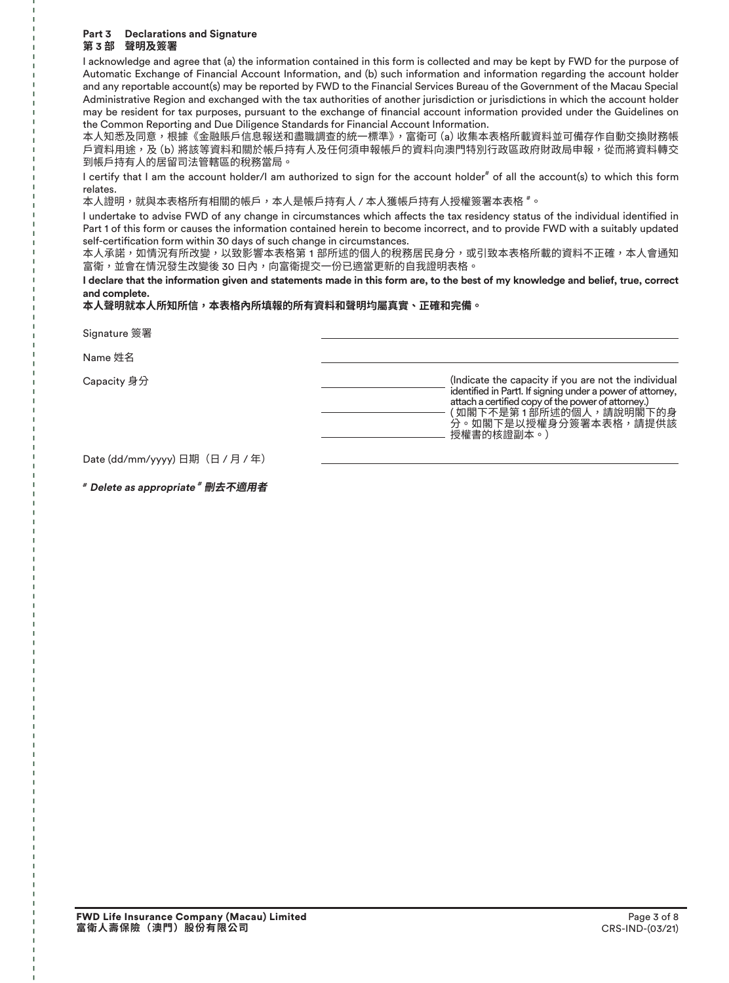#### **Part 3 Declarations and Signature** 第3部 聲明及簽署

I acknowledge and agree that (a) the information contained in this form is collected and may be kept by FWD for the purpose of Automatic Exchange of Financial Account Information, and (b) such information and information regarding the account holder and any reportable account(s) may be reported by FWD to the Financial Services Bureau of the Government of the Macau Special Administrative Region and exchanged with the tax authorities of another jurisdiction or jurisdictions in which the account holder may be resident for tax purposes, pursuant to the exchange of financial account information provided under the Guidelines on the Common Reporting and Due Diligence Standards for Financial Account Information.

本人知悉及同意,根據《金融賬戶信息報送和盡職調查的統一標準》,富衛可 (a) 收集本表格所載資料並可備存作自動交換財務帳 戶資料用途,及 (b) 將該等資料和關於帳戶持有人及任何須申報帳戶的資料向澳門特別行政區政府財政局申報,從而將資料轉交 到帳戶持有人的居留司法管轄區的稅務當局。

I certify that I am the account holder/I am authorized to sign for the account holder<sup>#</sup> of all the account(s) to which this form relates.

本人證明,就與本表格所有相關的帳戶,本人是帳戶持有人 / 本人獲帳戶持有人授權簽署本表格 #。

I undertake to advise FWD of any change in circumstances which affects the tax residency status of the individual identified in Part 1 of this form or causes the information contained herein to become incorrect, and to provide FWD with a suitably updated self-certification form within 30 days of such change in circumstances.

本人承諾,如情況有所改變,以致影響本表格第1部所述的個人的稅務居民身分,或引致本表格所載的資料不正確,本人會通知 富衛,並會在情況發生改變後 30 日內,向富衛提交一份已適當更新的自我證明表格。

**I declare that the information given and statements made in this form are, to the best of my knowledge and belief, true, correct and complete.**

本人聲明就本人所知所信,本表格內所填報的所有資料和聲明均屬真實、正確和完備。

**Signature 簽署** 

Name 姓名

| Capacity 身分 | (Indicate the capacity if you are not the individual<br>identified in Part1. If signing under a power of attorney,<br>attach a certified copy of the power of attorney.)<br>( 如閣下不是第 1 部所述的個人,請說明閣下的身<br>分。如閣下是以授權身分簽署本表格,請提供該<br>授權書的核證副本。 |
|-------------|---------------------------------------------------------------------------------------------------------------------------------------------------------------------------------------------------------------------------------------------|
|             |                                                                                                                                                                                                                                             |

Date (dd/mm/yyyy) 日期 (日 / 月 / 年)

#### **# Delete as appropriate # ⵅ♶黠欽罏**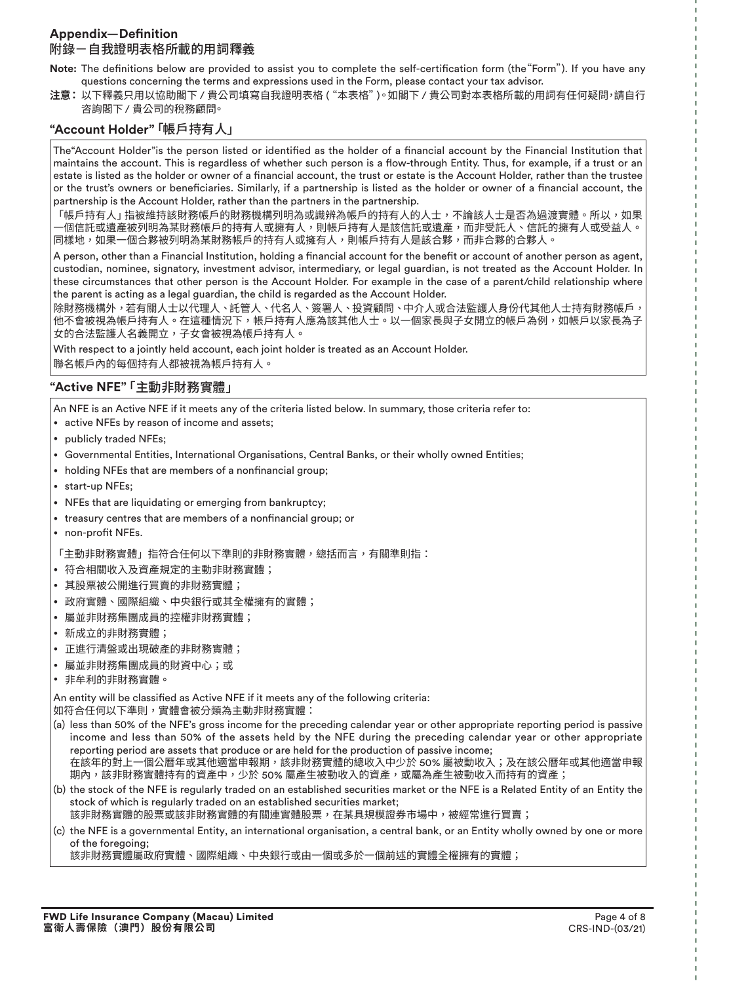### Appendix-Definition 附錄ㄧ自我證明表格所載的用詞釋義

Note: The definitions below are provided to assist you to complete the self-certification form (the "Form"). If you have any questions concerning the terms and expressions used in the Form, please contact your tax advisor.

注意:以下釋義只用以協助閣下 / 貴公司填寫自我證明表格 ( "本表格" )。如閣下 / 貴公司對本表格所載的用詞有任何疑問,請自行 咨詢閣下 / 貴公司的稅務顧問。

## **"Account Holder"**「帳戶持有人」

The Account Holder" is the person listed or identified as the holder of a financial account by the Financial Institution that maintains the account. This is regardless of whether such person is a flow-through Entity. Thus, for example, if a trust or an estate is listed as the holder or owner of a financial account, the trust or estate is the Account Holder, rather than the trustee or the trust's owners or beneficiaries. Similarly, if a partnership is listed as the holder or owner of a financial account, the partnership is the Account Holder, rather than the partners in the partnership.

「帳戶持有人」指被維持該財務帳戶的財務機構列明為或識辨為帳戶的持有人的人士,不論該人士是否為過渡實體。所以,如果 -個信託或遺產被列明為某財務帳戶的持有人或擁有人,則帳戶持有人是該信託或遺產,而非受託人、信託的擁有人或受益人。 同樣地,加果一個合夥被列明為某財務帳戶的持有人或擁有人,則帳戶持有人是該合夥,而非合夥的合夥人。

A person, other than a Financial Institution, holding a financial account for the benefit or account of another person as agent, custodian, nominee, signatory, investment advisor, intermediary, or legal guardian, is not treated as the Account Holder. In these circumstances that other person is the Account Holder. For example in the case of a parent/child relationship where the parent is acting as a legal guardian, the child is regarded as the Account Holder.

除財務機構外,若有關人士以代理人、託管人、代名人、簽署人、投資顧問、中介人或合法監護人身份代其他人士持有財務帳戶<sup>,</sup> 他不會被視為帳戶持有人。在這種情況下,帳戶持有人應為該其他人士。以一個家長與子女開立的帳戶為例,如帳戶以家長為子 女的合法監護人名義開立,子女會被視為帳戶持有人。

With respect to a jointly held account, each joint holder is treated as an Account Holder.

聯名帳戶內的每個持有人都被視為帳戶持有人。

# **"Active NFE"**「⚺⹛ꬌ財務實體」

An NFE is an Active NFE if it meets any of the criteria listed below. In summary, those criteria refer to:

- active NFEs by reason of income and assets;
- publicly traded NFEs;
- Governmental Entities, International Organisations, Central Banks, or their wholly owned Entities;
- holding NFEs that are members of a nonfinancial group;
- start-up NFEs;
- NFEs that are liquidating or emerging from bankruptcy;
- treasury centres that are members of a nonfinancial group; or
- non-profit NFEs.

「主動非財務實體」指符合任何以下準則的非財務實體,總括而言,有關準則指:

- 符合相關收入及資產規定的主動非財務實體;
- 其股票被公開進行買賣的非財務實體;
- 政府實體、國際組織、中央銀行或其全權擁有的實體;
- 屬並非財務集團成員的控權非財務實體;
- 倞成用的非財務實體;
- 正谁行清盤或出現破產的非財務實體;
- 屬並非財務集團成員的財資中心;或
- 非暑ⵄ的非財務實體。

An entity will be classified as Active NFE if it meets any of the following criteria: 如符合任何以下準則,實體會被分類為主動非財務實體:

- (a) less than 50% of the NFE's gross income for the preceding calendar year or other appropriate reporting period is passive income and less than 50% of the assets held by the NFE during the preceding calendar year or other appropriate reporting period are assets that produce or are held for the production of passive income; 在該年的對上一個公曆年或其他適當申報期,該非財務實體的總收入中少於 50% 屬被動收入;及在該公曆年或其他適當申報 期內,該非財務實體持有的資產中,少於 50% 屬產生被動收入的資產,或屬為產生被動收入而持有的資產;
- (b) the stock of the NFE is regularly traded on an established securities market or the NFE is a Related Entity of an Entity the stock of which is regularly traded on an established securities market;

該非財務實體的股票或該非財務實體的有關連實體股票,在某具規模證券市場中,被經常進行買賣;

(c) the NFE is a governmental Entity, an international organisation, a central bank, or an Entity wholly owned by one or more of the foregoing;

該非財務實體屬政府實體、國際組織、中央銀行或由一個或多於一個前述的實體全權擁有的實體;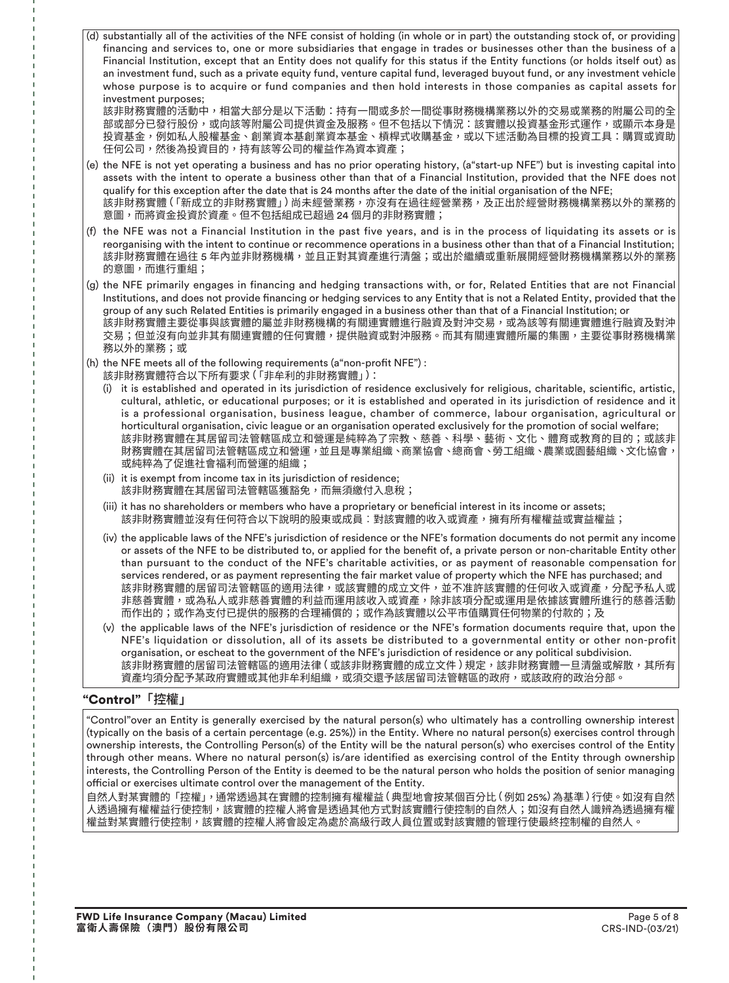(d) substantially all of the activities of the NFE consist of holding (in whole or in part) the outstanding stock of, or providing financing and services to, one or more subsidiaries that engage in trades or businesses other than the business of a Financial Institution, except that an Entity does not qualify for this status if the Entity functions (or holds itself out) as an investment fund, such as a private equity fund, venture capital fund, leveraged buyout fund, or any investment vehicle whose purpose is to acquire or fund companies and then hold interests in those companies as capital assets for investment purposes;

該非財務實體的活動中,相當大部分是以下活動:持有一間或多於一間從事財務機構業務以外的交易或業務的附屬公司的全 部或部分已發行股份,或向該等附屬公司提供資金及服務。但不包括以下情況:該實體以投資基金形式運作,或顯示本身是 投資基金,例如私人股權基金、創業資本基創業資本基金、槓桿式收購基金,或以下述活動為目標的投資工具:購買或資助 任何公司,然後為投資目的,持有該等公司的權益作為資本資產;

- (e) the NFE is not yet operating a business and has no prior operating history, (a"start-up NFE") but is investing capital into assets with the intent to operate a business other than that of a Financial Institution, provided that the NFE does not qualify for this exception after the date that is 24 months after the date of the initial organisation of the NFE; 該非財務實體(「新成立的非財務實體」)尚未經營業務,亦沒有在過往經營業務,及正出於經營財務機構業務以外的業務的 意圖,而將資金投資於資產。但不包括組成已超過 24 個月的非財務實體;
- (f) the NFE was not a Financial Institution in the past five years, and is in the process of liquidating its assets or is reorganising with the intent to continue or recommence operations in a business other than that of a Financial Institution; 該非財務實體在過往 5 年內並非財務機構,並且正對其資產進行清盤;或出於繼續或重新展開經營財務機構業務以外的業務 的意圖,而進行重組;
- (g) the NFE primarily engages in financing and hedging transactions with, or for, Related Entities that are not Financial Institutions, and does not provide financing or hedging services to any Entity that is not a Related Entity, provided that the group of any such Related Entities is primarily engaged in a business other than that of a Financial Institution; or 該非財務實體主要從事與該實體的屬並非財務機構的有關連實體進行融資及對沖交易,或為該等有關連實體進行融資及對沖 交易;但並沒有向並非其有關連實體的任何實體,提供融資或對沖服務。而其有關連實體所屬的集團,主要從事財務機構業 務以外的業務;或
- (h) the NFE meets all of the following requirements (a non-profit NFE") :
- 該非財務實體符合以下所有要求 ( 「非牟利的非財務實體」):
	- (i) it is established and operated in its jurisdiction of residence exclusively for religious, charitable, scientific, artistic, cultural, athletic, or educational purposes; or it is established and operated in its jurisdiction of residence and it is a professional organisation, business league, chamber of commerce, labour organisation, agricultural or horticultural organisation, civic league or an organisation operated exclusively for the promotion of social welfare; 該非財務實體在其居留司法管轄區成立和營運是純粹為了宗教、慈善、科學、藝術、文化、體育或教育的目的;或該非 財務實體在其居留司法管轄區成立和營運,並且是專業組織、商業協會、總商會、勞工組織、農業或園藝組織、文化協會, 或純粹為了促進社會福利而營運的組織;
	- (ii) it is exempt from income tax in its jurisdiction of residence; 該非財務實體在其居留司法管轄區獲豁免,而無須繳付入息稅;
	- (iii) it has no shareholders or members who have a proprietary or beneficial interest in its income or assets; 該非財務實體並沒有任何符合以下說明的股東或成員︰對該實體的收入或資產,擁有所有權權益或實益權益;
	- (iv) the applicable laws of the NFE's jurisdiction of residence or the NFE's formation documents do not permit any income or assets of the NFE to be distributed to, or applied for the benefit of, a private person or non-charitable Entity other than pursuant to the conduct of the NFE's charitable activities, or as payment of reasonable compensation for services rendered, or as payment representing the fair market value of property which the NFE has purchased; and 該非財務實體的居留司法管轄區的適用法律,或該實體的成立文件,並不准許該實體的任何收入或資產,分配予私人或 非慈善實體,或為私人或非慈耆體的利益而運用該收入或資產,除非該項分配或運用是依據該實體所進行的慈善活動 而作出的;或作為支付已提供的服務的合理補償的;或作為該實體以公平市值購買任何物業的付款的;及
	- (v) the applicable laws of the NFE's jurisdiction of residence or the NFE's formation documents require that, upon the NFE's liquidation or dissolution, all of its assets be distributed to a governmental entity or other non-profit organisation, or escheat to the government of the NFE's jurisdiction of residence or any political subdivision. 該非財務實體的居留司法管轄區的適用法律 ( 或該非財務實體的成立文件 ) 規定,該非財務實體一旦清盤或解散,其所有 資產均須分配予某政府實體或其他非牟利組織,或須交還予該居留司法管轄區的政府,或該政府的政治分部。

# "Control"「控權」

"Control"over an Entity is generally exercised by the natural person(s) who ultimately has a controlling ownership interest (typically on the basis of a certain percentage (e.g. 25%)) in the Entity. Where no natural person(s) exercises control through ownership interests, the Controlling Person(s) of the Entity will be the natural person(s) who exercises control of the Entity through other means. Where no natural person(s) is/are identified as exercising control of the Entity through ownership interests, the Controlling Person of the Entity is deemed to be the natural person who holds the position of senior managing official or exercises ultimate control over the management of the Entity.

自然人對某實體的「控權」,通常透過其在實體的控制擁有權權益(典型地會按某個百分比(例如 25%)為基準)行使。如沒有自然 人透過擁有權權益行使控制,該實體的控權人將會是透過其他方式對該實體行使控制的自然人;如沒有自然人識辨為透過擁有權 權益對某實體行使控制,該實體的控權人將會設定為處於高級行政人員位置或對該實體的管理行使最終控制權的自然人。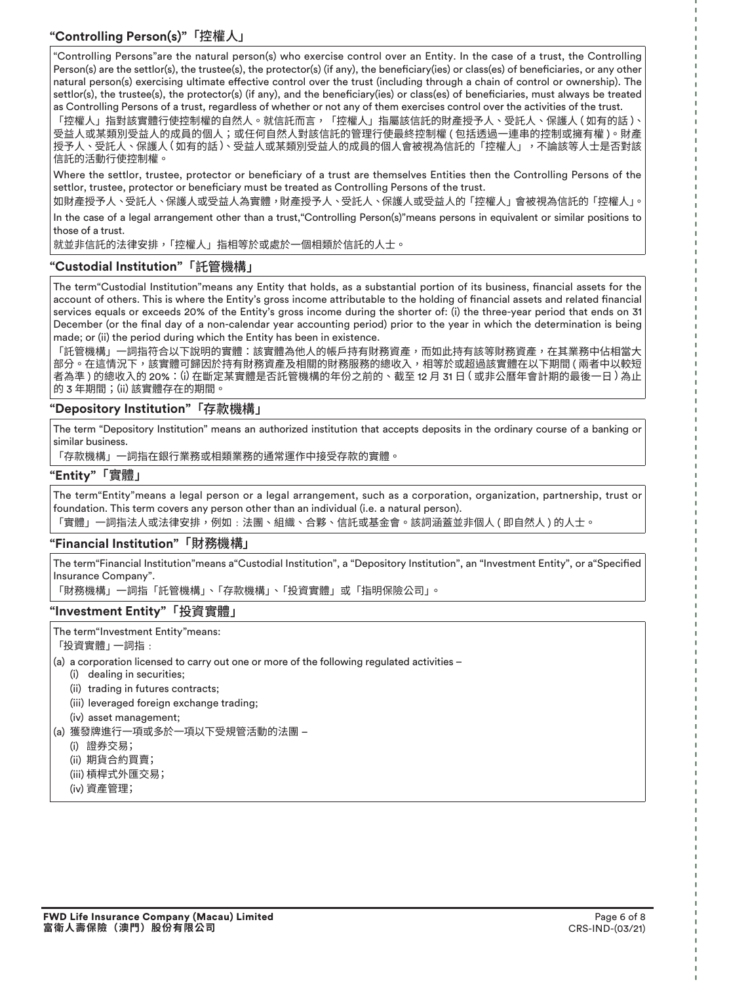**"Controlling Person(s)"**「控權人」

"Controlling Persons"are the natural person(s) who exercise control over an Entity. In the case of a trust, the Controlling Person(s) are the settlor(s), the trustee(s), the protector(s) (if any), the beneficiary(ies) or class(es) of beneficiaries, or any other natural person(s) exercising ultimate effective control over the trust (including through a chain of control or ownership). The settlor(s), the trustee(s), the protector(s) (if any), and the beneficiary(ies) or class(es) of beneficiaries, must always be treated as Controlling Persons of a trust, regardless of whether or not any of them exercises control over the activities of the trust.

「控權人」指對該實體行使控制權的自然人。就信託而言,「控權人」指屬該信託的財產授予人、受託人、保護人(如有的話)、 受益人或某類別受益人的成員的個人;或任何自然人對該信託的管理行使最終控制權 ( 包括透過一連串的控制或擁有權 )。財產 授予人、受託人、保護人 ( 如有的話 )、受益人或某類別受益人的成員的個人會被視為信託的「控權人」,不論該等人士是否對該 信託的活動行使控制權。

Where the settlor, trustee, protector or beneficiary of a trust are themselves Entities then the Controlling Persons of the settlor, trustee, protector or beneficiary must be treated as Controlling Persons of the trust.

如財產授予人、受託人、保護人或受益人為實體,財產授予人、受託人、保護人或受益人的「控權人」會被視為信託的「控權人」。

In the case of a legal arrangement other than a trust,"Controlling Person(s)"means persons in equivalent or similar positions to those of a trust.

就並非信託的法律安排,「控權人」指相等於或處於一個相類於信託的人士。

### **"Custodial Institution"**「託管機構」

The term"Custodial Institution"means any Entity that holds, as a substantial portion of its business, financial assets for the account of others. This is where the Entity's gross income attributable to the holding of financial assets and related financial services equals or exceeds 20% of the Entity's gross income during the shorter of: (i) the three-year period that ends on 31 December (or the final day of a non-calendar year accounting period) prior to the year in which the determination is being made; or (ii) the period during which the Entity has been in existence.

「託管機構」一詞指符合以下說明的實體:該實體為他人的帳戶持有財務資產,而如此持有該等財務資產,在其業務中佔相當大 部分。在這情況下,該實體可歸因於持有財務資產及相關的財務服務的總收入,相等於或超過該實體在以下期間 ( 兩者中以較短 者為準 ) 的總收入的 20%:(i) 在斷定某實體是否託管機構的年份之前的、截至 12 月 31 日 ( 或非公曆年會計期的最後一日 ) 為止 的 3 年期間;(ii) 該實體存在的期間。

### **"Depository Institution"**「存款機構」

The term "Depository Institution" means an authorized institution that accepts deposits in the ordinary course of a banking or similar business.

「存款機構」一詞指在銀行業務或相類業務的通常運作中接受存款的實體。

### **"Entity"**「實體」

The term"Entity"means a legal person or a legal arrangement, such as a corporation, organization, partnership, trust or foundation. This term covers any person other than an individual (i.e. a natural person). 「實體」一詞指法人或法律安排,例如﹕法團、組織、合夥、信託或基金會。該詞涵蓋並非個人 ( 即自然人 ) 的人士。

### **"Financial Institution"**「財務機構」

The term"Financial Institution"means a"Custodial Institution", a "Depository Institution", an "Investment Entity", or a"Specified Insurance Company".

「財務機構」一詞指「託管機構」、「存款機構」、「投資實體」或「指明保險公司」。

**"Investment Entity"**「投資實體」

The term"Investment Entity"means:

「投資實體」 一詞指:

(a) a corporation licensed to carry out one or more of the following regulated activities –

- (i) dealing in securities;
- (ii) trading in futures contracts;
- (iii) leveraged foreign exchange trading;
- (iv) asset management;
- (a) 獲發牌進行一項或多於一項以下受規管活動的法團
	- (i) 證券交易;
	- (ii) 期貨合約買賣;
	- (iii) 槓桿式外匯交易;
	- (iv) 資產管理;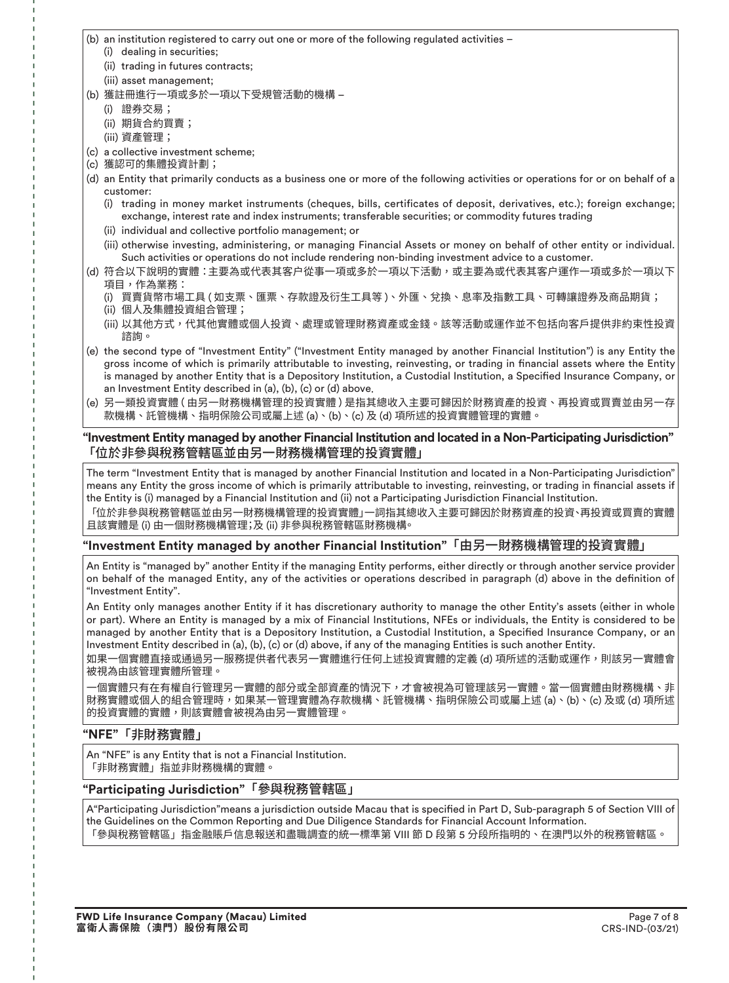(b) an institution registered to carry out one or more of the following regulated activities –

- (i) dealing in securities;
- (ii) trading in futures contracts;
- (iii) asset management;
- (b) 獲鏽ⱁ進行一項或多於一項以下受規管活動的機構
	- (i) 證券交易;
	- (ii) 期貨合約買賣;
	- (iii) 資產管理;
- (c) a collective investment scheme;
- (c) 獲認可的集體投資計劃;
- (d) an Entity that primarily conducts as a business one or more of the following activities or operations for or on behalf of a customer:
	- (i) trading in money market instruments (cheques, bills, certificates of deposit, derivatives, etc.); foreign exchange; exchange, interest rate and index instruments; transferable securities; or commodity futures trading
	- (ii) individual and collective portfolio management; or
	- (iii) otherwise investing, administering, or managing Financial Assets or money on behalf of other entity or individual. Such activities or operations do not include rendering non-binding investment advice to a customer.
- (d) 符合以下說明的實體:主要為或代表其客户從事一項或多於一項以下活動,或主要為或代表其客户運作一項或多於一項以下 項目,作為業務:
	- (i) 買賣貨幣市場工具 ( 如支票、匯票、存款證及衍生工具等 )、外匯、兌換、息率及指數工具、可轉讓證券及商品期貨; (ii) 個人及꧌體投資組合管理;
	- (iii) 以其他方式,代其他實體或個人投資、處理或管理財務資產或金錢。該等活動或運作並不包括向客戶提供非約束性投資 諮詢。
- (e) the second type of "Investment Entity" ("Investment Entity managed by another Financial Institution") is any Entity the gross income of which is primarily attributable to investing, reinvesting, or trading in financial assets where the Entity is managed by another Entity that is a Depository Institution, a Custodial Institution, a Specified Insurance Company, or an Investment Entity described in (a), (b), (c) or (d) above.
- (e) 另一類投資實體 ( 由另一財務機構管理的投資實體 ) 是指其總收入主要可歸因於財務資產的投資、再投資或買賣並由另一存 款機構、託管機構、指明保險公司或屬上述 (a)、(b)、(c) 及 (d) 項所述的投資實體管理的實體。

### **"Investment Entity managed by another Financial Institution and located in a Non-Participating Jurisdiction"** 「位於非參與稅務管轄區並由另一財務機構管理的投資實體」

The term "Investment Entity that is managed by another Financial Institution and located in a Non-Participating Jurisdiction" means any Entity the gross income of which is primarily attributable to investing, reinvesting, or trading in financial assets if the Entity is (i) managed by a Financial Institution and (ii) not a Participating Jurisdiction Financial Institution.

「位於非參與稅務管轄區並由另一財務機構管理的投資實體」一詞指其總收入主要可歸因於財務資產的投資、再投資或買賣的實體 且該實體是 (i) 由一個財務機構管理;及 (ii) 非參與稅務管轄區財務機構。

# **"Investment Entity managed by another Financial Institution"**「歋〥♧財務機構管椚涸投資實體」

An Entity is "managed by" another Entity if the managing Entity performs, either directly or through another service provider on behalf of the managed Entity, any of the activities or operations described in paragraph (d) above in the definition of "Investment Entity".

An Entity only manages another Entity if it has discretionary authority to manage the other Entity's assets (either in whole or part). Where an Entity is managed by a mix of Financial Institutions, NFEs or individuals, the Entity is considered to be managed by another Entity that is a Depository Institution, a Custodial Institution, a Specified Insurance Company, or an Investment Entity described in (a), (b), (c) or (d) above, if any of the managing Entities is such another Entity.

如果一個實體直接或通過另一服務提供者代表另一實體進行任何上述投資實體的定義 (d) 項所述的活動或運作,則該另一實體會 被視為由該管理實體所管理。

一個實體只有在有權自行管理另一實體的部分或全部資產的情況下,才會被視為可管理該另一實體。當一個實體由財務機構、非 財務實體或個人的組合管理時,如果某一管理實體為存款機構、託管機構、指明保險公司或屬上述 (a)、(b)、(c) 及或 (d) 項所述 的投資實體的實體,則該實體會被視為由另一實體管理。

# **"NFE"**「ꬌ財務實體」

An "NFE" is any Entity that is not a Financial Institution. 「非財務實體」指並非財務機構的實體。

### **"Participating Jurisdiction"**「莅玅務管鱨⼦」

A"Participating Jurisdiction" means a jurisdiction outside Macau that is specified in Part D, Sub-paragraph 5 of Section VIII of the Guidelines on the Common Reporting and Due Diligence Standards for Financial Account Information. 「參與稅務管轄區」指金融賬戶信息報送和盡職調查的統一標準第 VIII 節 D 段第 5 分段所指明的、在澳門以外的稅務管轄區。